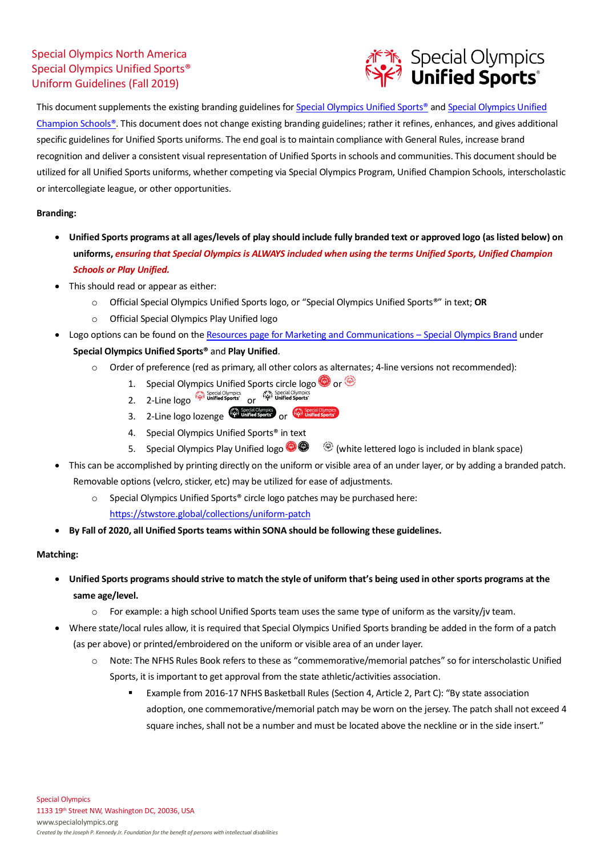## Special Olympics North America Special Olympics Unified Sports® Uniform Guidelines (Fall 2019)



This document supplements the existing branding guidelines for Special Olympics Unified Sports<sup>®</sup> and Special Olympics Unified [Champion Schools®](https://media.specialolympics.org/resources/community-building/youth-and-school/unified-schools/branding/Special-Olympics-Unified-Champion-Schools-Branding-Guidelines-United-States.pdf?_ga=2.5712563.1426380770.1518191273-1641756787.1516118660). This document does not change existing branding guidelines; rather it refines, enhances, and gives additional specific guidelines for Unified Sports uniforms. The end goal is to maintain compliance with General Rules, increase brand recognition and deliver a consistent visual representation of Unified Sports in schools and communities. This document should be utilized for all Unified Sports uniforms, whether competing via Special Olympics Program, Unified Champion Schools, interscholastic or intercollegiate league, or other opportunities.

## **Branding:**

- **Unified Sports programs at all ages/levels of play should include fully branded text or approved logo (as listed below) on uniforms,** *ensuring that Special Olympics is ALWAYS included when using the terms Unified Sports, Unified Champion Schools or Play Unified.*
- This should read or appear as either:
	- o Official Special Olympics Unified Sports logo, or "Special Olympics Unified Sports®" in text; **OR**
	- Official Special Olympics Play Unified logo
- Logo options can be found on th[e Resources page for Marketing and Communications –](https://resources.specialolympics.org/marketing-and-communications/special-olympics-brand) Special Olympics Brand under **Special Olympics Unified Sports®** and **Play Unified**.
	- o Order of preference (red as primary, all other colors as alternates; 4-line versions not recommended):
		- 1. Special Olympics Unified Sports circle logo  $\bigcirc$  or  $\circledast$
		- Special Olympics and Special Olympics and Special Olympics<br>2. 2-Line logo of Unified Sports' or
		- 3. 2-Line logo lozenge  $\overbrace{\mathbb{S}_1^{\text{ex}}\text{ Spects}}^{\text{Spects}}$  or  $\overbrace{\mathbb{S}_1^{\text{ex}}\text{ Unified Sports}}^{\text{exp}}$
		- 4. Special Olympics Unified Sports<sup>®</sup> in text
		- 5. Special Olympics Play Unified logo  $\bullet \bullet \bullet$  (white lettered logo is included in blank space)
- This can be accomplished by printing directly on the uniform or visible area of an under layer, or by adding a branded patch. Removable options (velcro, sticker, etc) may be utilized for ease of adjustments.
	- o Special Olympics Unified Sports® circle logo patches may be purchased here:
		- <https://stwstore.global/collections/uniform-patch>
- **By Fall of 2020, all Unified Sports teams within SONA should be following these guidelines.**

## **Matching:**

- **Unified Sports programs should strive to match the style of uniform that's being used in other sports programs at the same age/level.**
	- $\circ$  For example: a high school Unified Sports team uses the same type of uniform as the varsity/jv team.
- Where state/local rules allow, it is required that Special Olympics Unified Sports branding be added in the form of a patch (as per above) or printed/embroidered on the uniform or visible area of an under layer.
	- o Note: The NFHS Rules Book refers to these as "commemorative/memorial patches" so for interscholastic Unified Sports, it is important to get approval from the state athletic/activities association.
		- Example from 2016-17 NFHS Basketball Rules (Section 4, Article 2, Part C): "By state association adoption, one commemorative/memorial patch may be worn on the jersey. The patch shall not exceed 4 square inches, shall not be a number and must be located above the neckline or in the side insert."